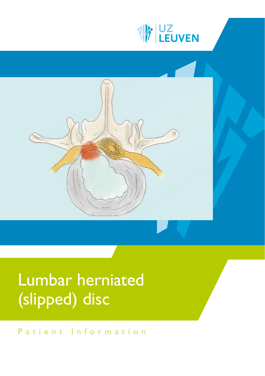



# Lumbar herniated (slipped) disc

Patient Information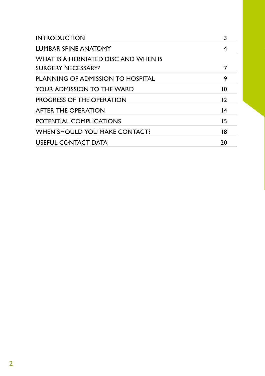| <b>INTRODUCTION</b>                                               | 3               |
|-------------------------------------------------------------------|-----------------|
| LUMBAR SPINE ANATOMY                                              | 4               |
| WHAT IS A HERNIATED DISC AND WHEN IS<br><b>SURGERY NECESSARY?</b> |                 |
| PLANNING OF ADMISSION TO HOSPITAL                                 | 9               |
| YOUR ADMISSION TO THE WARD                                        | 10              |
| PROGRESS OF THE OPERATION                                         | 12              |
| <b>AFTER THE OPERATION</b>                                        | $\overline{14}$ |
| POTENTIAL COMPLICATIONS                                           | 15              |
| WHEN SHOULD YOU MAKE CONTACT?                                     | 18              |
| USEFUL CONTACT DATA                                               | 20              |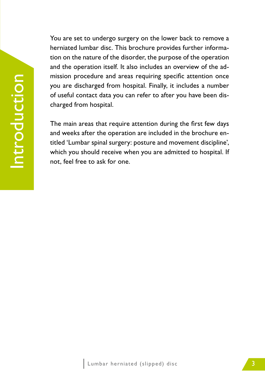You are set to undergo surgery on the lower back to remove a herniated lumbar disc. This brochure provides further information on the nature of the disorder, the purpose of the operation and the operation itself. It also includes an overview of the admission procedure and areas requiring specific attention once you are discharged from hospital. Finally, it includes a number of useful contact data you can refer to after you have been discharged from hospital.

The main areas that require attention during the first few days and weeks after the operation are included in the brochure entitled 'Lumbar spinal surgery: posture and movement discipline', which you should receive when you are admitted to hospital. If not, feel free to ask for one.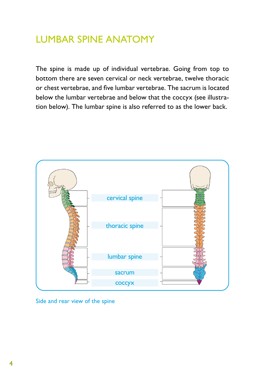### LUMBAR SPINE ANATOMY

The spine is made up of individual vertebrae. Going from top to bottom there are seven cervical or neck vertebrae, twelve thoracic or chest vertebrae, and five lumbar vertebrae. The sacrum is located below the lumbar vertebrae and below that the coccyx (see illustration below). The lumbar spine is also referred to as the lower back.



Side and rear view of the spine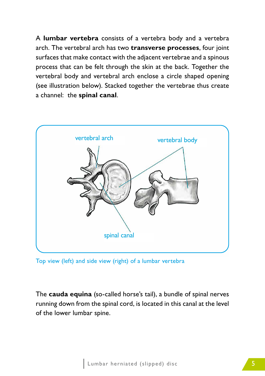A **lumbar vertebra** consists of a vertebra body and a vertebra arch. The vertebral arch has two **transverse processes**, four joint surfaces that make contact with the adjacent vertebrae and a spinous process that can be felt through the skin at the back. Together the vertebral body and vertebral arch enclose a circle shaped opening (see illustration below). Stacked together the vertebrae thus create a channel: the **spinal canal**.



Top view (left) and side view (right) of a lumbar vertebra

The **cauda equina** (so-called horse's tail), a bundle of spinal nerves running down from the spinal cord, is located in this canal at the level of the lower lumbar spine.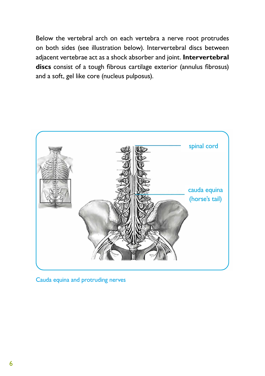Below the vertebral arch on each vertebra a nerve root protrudes on both sides (see illustration below). Intervertebral discs between adjacent vertebrae act as a shock absorber and joint. **Intervertebral discs** consist of a tough fibrous cartilage exterior (annulus fibrosus) and a soft, gel like core (nucleus pulposus).



Cauda equina and protruding nerves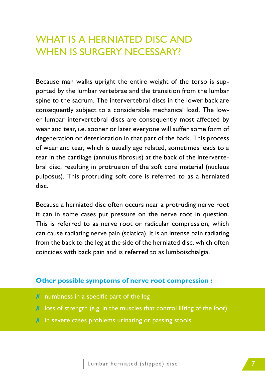### WHAT IS A HERNIATED DISC AND WHEN IS SURGERY NECESSARY?

Because man walks upright the entire weight of the torso is supported by the lumbar vertebrae and the transition from the lumbar spine to the sacrum. The intervertebral discs in the lower back are consequently subject to a considerable mechanical load. The lower lumbar intervertebral discs are consequently most affected by wear and tear, i.e. sooner or later everyone will suffer some form of degeneration or deterioration in that part of the back. This process of wear and tear, which is usually age related, sometimes leads to a tear in the cartilage (annulus fibrosus) at the back of the intervertebral disc, resulting in protrusion of the soft core material (nucleus pulposus). This protruding soft core is referred to as a herniated disc.

Because a herniated disc often occurs near a protruding nerve root it can in some cases put pressure on the nerve root in question. This is referred to as nerve root or radicular compression, which can cause radiating nerve pain (sciatica). It is an intense pain radiating from the back to the leg at the side of the herniated disc, which often coincides with back pain and is referred to as lumboischialgia.

#### **Other possible symptoms of nerve root compression :**

- $\lambda$  numbness in a specific part of the leg
- $\chi$  loss of strength (e.g. in the muscles that control lifting of the foot)
- $\lambda$  in severe cases problems urinating or passing stools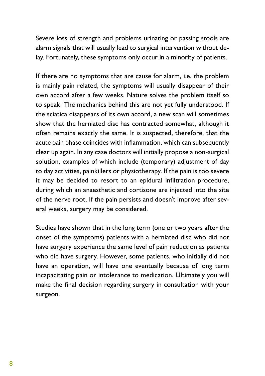Severe loss of strength and problems urinating or passing stools are alarm signals that will usually lead to surgical intervention without delay. Fortunately, these symptoms only occur in a minority of patients.

If there are no symptoms that are cause for alarm, i.e. the problem is mainly pain related, the symptoms will usually disappear of their own accord after a few weeks. Nature solves the problem itself so to speak. The mechanics behind this are not yet fully understood. If the sciatica disappears of its own accord, a new scan will sometimes show that the herniated disc has contracted somewhat, although it often remains exactly the same. It is suspected, therefore, that the acute pain phase coincides with inflammation, which can subsequently clear up again. In any case doctors will initially propose a non-surgical solution, examples of which include (temporary) adjustment of day to day activities, painkillers or physiotherapy. If the pain is too severe it may be decided to resort to an epidural infiltration procedure, during which an anaesthetic and cortisone are injected into the site of the nerve root. If the pain persists and doesn't improve after several weeks, surgery may be considered.

Studies have shown that in the long term (one or two years after the onset of the symptoms) patients with a herniated disc who did not have surgery experience the same level of pain reduction as patients who did have surgery. However, some patients, who initially did not have an operation, will have one eventually because of long term incapacitating pain or intolerance to medication. Ultimately you will make the final decision regarding surgery in consultation with your surgeon.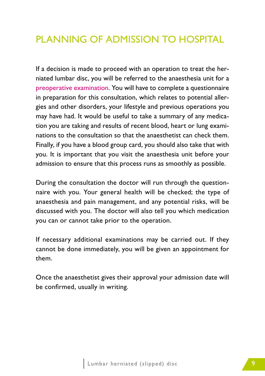### PLANNING OF ADMISSION TO HOSPITAL

If a decision is made to proceed with an operation to treat the herniated lumbar disc, you will be referred to the anaesthesia unit for a preoperative examination. You will have to complete a questionnaire in preparation for this consultation, which relates to potential allergies and other disorders, your lifestyle and previous operations you may have had. It would be useful to take a summary of any medication you are taking and results of recent blood, heart or lung examinations to the consultation so that the anaesthetist can check them. Finally, if you have a blood group card, you should also take that with you. It is important that you visit the anaesthesia unit before your admission to ensure that this process runs as smoothly as possible.

During the consultation the doctor will run through the questionnaire with you. Your general health will be checked; the type of anaesthesia and pain management, and any potential risks, will be discussed with you. The doctor will also tell you which medication you can or cannot take prior to the operation.

If necessary additional examinations may be carried out. If they cannot be done immediately, you will be given an appointment for them.

Once the anaesthetist gives their approval your admission date will be confirmed, usually in writing.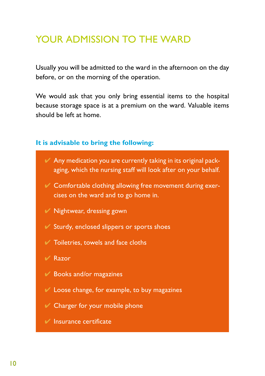### YOUR ADMISSION TO THE WARD

Usually you will be admitted to the ward in the afternoon on the day before, or on the morning of the operation.

We would ask that you only bring essential items to the hospital because storage space is at a premium on the ward. Valuable items should be left at home.

#### **It is advisable to bring the following:**

- $\mathbb V$  Any medication you are currently taking in its original packaging, which the nursing staff will look after on your behalf.
- $\mathcal V$  Comfortable clothing allowing free movement during exercises on the ward and to go home in.
- $\mathscr V$  Nightwear, dressing gown
- $\vee$  Sturdy, enclosed slippers or sports shoes
- $\vee$  Toiletries, towels and face cloths
- ✔ Razor
- $\mathscr V$  Books and/or magazines
- $\vee$  Loose change, for example, to buy magazines
- $\vee$  Charger for your mobile phone
- $\vee$  Insurance certificate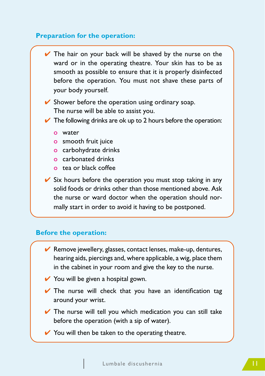#### **Preparation for the operation:**

- $\vee$  The hair on your back will be shaved by the nurse on the ward or in the operating theatre. Your skin has to be as smooth as possible to ensure that it is properly disinfected before the operation. You must not shave these parts of your body yourself.
- $\checkmark$  Shower before the operation using ordinary soap. The nurse will be able to assist you.
- $\vee$  The following drinks are ok up to 2 hours before the operation:
	- o water
	- o smooth fruit juice
	- o carbohydrate drinks
	- o carbonated drinks
	- o tea or black coffee
- $\checkmark$  Six hours before the operation you must stop taking in any solid foods or drinks other than those mentioned above. Ask the nurse or ward doctor when the operation should normally start in order to avoid it having to be postponed.

#### **Before the operation:**

- $\vee$  Remove jewellery, glasses, contact lenses, make-up, dentures, hearing aids, piercings and, where applicable, a wig, place them in the cabinet in your room and give the key to the nurse.
- $\vee$  You will be given a hospital gown.
- $\vee$  The nurse will check that you have an identification tag around your wrist.
- $\vee$  The nurse will tell you which medication you can still take before the operation (with a sip of water).
- $\vee$  You will then be taken to the operating theatre.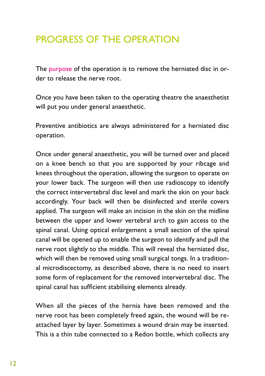### PROGRESS OF THE OPERATION

The purpose of the operation is to remove the herniated disc in order to release the nerve root.

Once you have been taken to the operating theatre the anaesthetist will put you under general anaesthetic.

Preventive antibiotics are always administered for a herniated disc operation.

Once under general anaesthetic, you will be turned over and placed on a knee bench so that you are supported by your ribcage and knees throughout the operation, allowing the surgeon to operate on your lower back. The surgeon will then use radioscopy to identify the correct intervertebral disc level and mark the skin on your back accordingly. Your back will then be disinfected and sterile covers applied. The surgeon will make an incision in the skin on the midline between the upper and lower vertebral arch to gain access to the spinal canal. Using optical enlargement a small section of the spinal canal will be opened up to enable the surgeon to identify and pull the nerve root slightly to the middle. This will reveal the herniated disc, which will then be removed using small surgical tongs. In a traditional microdiscectomy, as described above, there is no need to insert some form of replacement for the removed intervertebral disc. The spinal canal has sufficient stabilising elements already.

When all the pieces of the hernia have been removed and the nerve root has been completely freed again, the wound will be reattached layer by layer. Sometimes a wound drain may be inserted. This is a thin tube connected to a Redon bottle, which collects any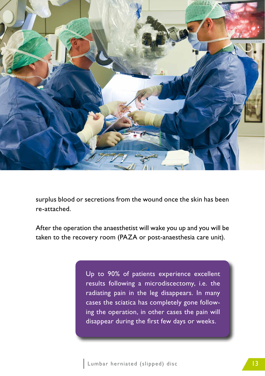

surplus blood or secretions from the wound once the skin has been re-attached.

After the operation the anaesthetist will wake you up and you will be taken to the recovery room (PAZA or post-anaesthesia care unit).

> Up to 90% of patients experience excellent results following a microdiscectomy, i.e. the radiating pain in the leg disappears. In many cases the sciatica has completely gone following the operation, in other cases the pain will disappear during the first few days or weeks.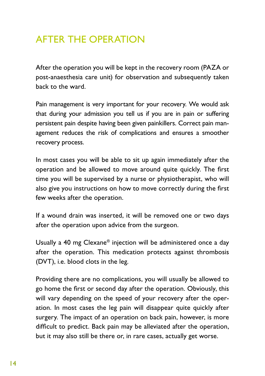# AFTER THE OPERATION

After the operation you will be kept in the recovery room (PAZA or post-anaesthesia care unit) for observation and subsequently taken back to the ward.

Pain management is very important for your recovery. We would ask that during your admission you tell us if you are in pain or suffering persistent pain despite having been given painkillers. Correct pain management reduces the risk of complications and ensures a smoother recovery process.

In most cases you will be able to sit up again immediately after the operation and be allowed to move around quite quickly. The first time you will be supervised by a nurse or physiotherapist, who will also give you instructions on how to move correctly during the first few weeks after the operation.

If a wound drain was inserted, it will be removed one or two days after the operation upon advice from the surgeon.

Usually a 40 mg Clexane® injection will be administered once a day after the operation. This medication protects against thrombosis (DVT), i.e. blood clots in the leg.

Providing there are no complications, you will usually be allowed to go home the first or second day after the operation. Obviously, this will vary depending on the speed of your recovery after the operation. In most cases the leg pain will disappear quite quickly after surgery. The impact of an operation on back pain, however, is more difficult to predict. Back pain may be alleviated after the operation, but it may also still be there or, in rare cases, actually get worse.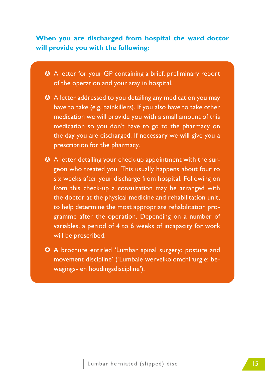**When you are discharged from hospital the ward doctor will provide you with the following:** 

- ✪ A letter for your GP containing a brief, preliminary report of the operation and your stay in hospital.
- ✪ A letter addressed to you detailing any medication you may have to take (e.g. painkillers). If you also have to take other medication we will provide you with a small amount of this medication so you don't have to go to the pharmacy on the day you are discharged. If necessary we will give you a prescription for the pharmacy.
- ✪ A letter detailing your check-up appointment with the surgeon who treated you. This usually happens about four to six weeks after your discharge from hospital. Following on from this check-up a consultation may be arranged with the doctor at the physical medicine and rehabilitation unit, to help determine the most appropriate rehabilitation programme after the operation. Depending on a number of variables, a period of 4 to 6 weeks of incapacity for work will be prescribed.
- ✪ A brochure entitled 'Lumbar spinal surgery: posture and movement discipline' ('Lumbale wervelkolomchirurgie: bewegings- en houdingsdiscipline').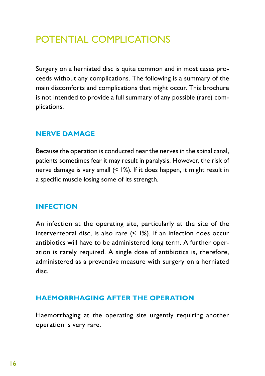### POTENTIAL COMPLICATIONS

Surgery on a herniated disc is quite common and in most cases proceeds without any complications. The following is a summary of the main discomforts and complications that might occur. This brochure is not intended to provide a full summary of any possible (rare) complications.

### **NERVE DAMAGE**

Because the operation is conducted near the nerves in the spinal canal, patients sometimes fear it may result in paralysis. However, the risk of nerve damage is very small (< 1%). If it does happen, it might result in a specific muscle losing some of its strength.

### **INFECTION**

An infection at the operating site, particularly at the site of the intervertebral disc, is also rare (< 1%). If an infection does occur antibiotics will have to be administered long term. A further operation is rarely required. A single dose of antibiotics is, therefore, administered as a preventive measure with surgery on a herniated disc.

### **HAEMORRHAGING AFTER THE OPERATION**

Haemorrhaging at the operating site urgently requiring another operation is very rare.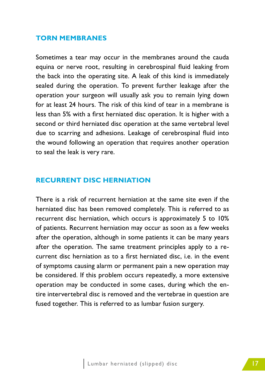#### **TORN MEMBRANES**

Sometimes a tear may occur in the membranes around the cauda equina or nerve root, resulting in cerebrospinal fluid leaking from the back into the operating site. A leak of this kind is immediately sealed during the operation. To prevent further leakage after the operation your surgeon will usually ask you to remain lying down for at least 24 hours. The risk of this kind of tear in a membrane is less than 5% with a first herniated disc operation. It is higher with a second or third herniated disc operation at the same vertebral level due to scarring and adhesions. Leakage of cerebrospinal fluid into the wound following an operation that requires another operation to seal the leak is very rare.

#### **RECURRENT DISC HERNIATION**

There is a risk of recurrent herniation at the same site even if the herniated disc has been removed completely. This is referred to as recurrent disc herniation, which occurs is approximately 5 to 10% of patients. Recurrent herniation may occur as soon as a few weeks after the operation, although in some patients it can be many years after the operation. The same treatment principles apply to a recurrent disc herniation as to a first herniated disc, i.e. in the event of symptoms causing alarm or permanent pain a new operation may be considered. If this problem occurs repeatedly, a more extensive operation may be conducted in some cases, during which the entire intervertebral disc is removed and the vertebrae in question are fused together. This is referred to as lumbar fusion surgery.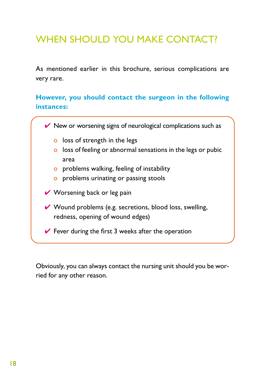# WHEN SHOULD YOU MAKE CONTACT?

As mentioned earlier in this brochure, serious complications are very rare.

### **However, you should contact the surgeon in the following instances:**



Obviously, you can always contact the nursing unit should you be worried for any other reason.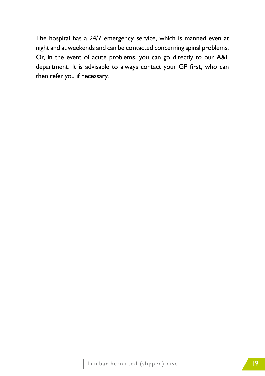The hospital has a 24/7 emergency service, which is manned even at night and at weekends and can be contacted concerning spinal problems. Or, in the event of acute problems, you can go directly to our A&E department. It is advisable to always contact your GP first, who can then refer you if necessary.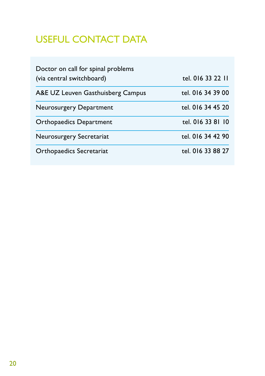# USEFUL CONTACT DATA

| Doctor on call for spinal problems<br>(via central switchboard) | tel. 016 33 22 11 |
|-----------------------------------------------------------------|-------------------|
| A&E UZ Leuven Gasthuisberg Campus                               | tel. 016 34 39 00 |
| Neurosurgery Department                                         | tel. 016 34 45 20 |
| <b>Orthopaedics Department</b>                                  | tel. 016 33 81 10 |
| Neurosurgery Secretariat                                        | tel. 016 34 42 90 |
| Orthopaedics Secretariat                                        | tel. 016 33 88 27 |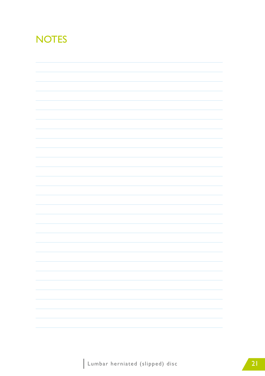### **NOTES**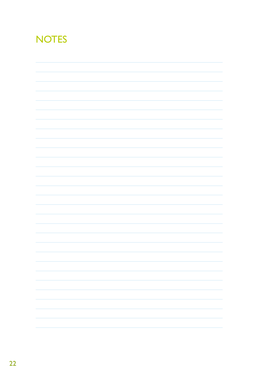### **NOTES**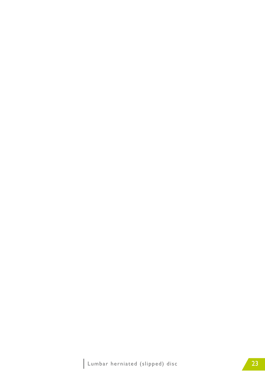Lumbar herniated (slipped) disc 23